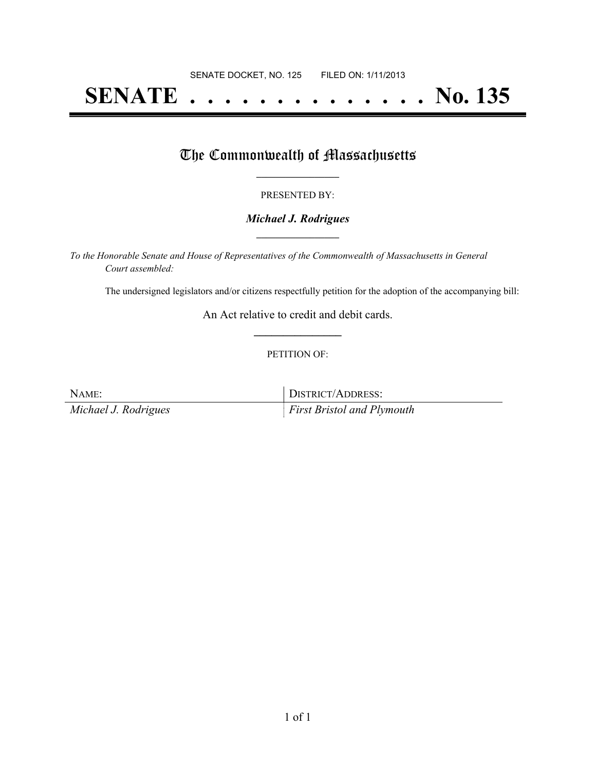# **SENATE . . . . . . . . . . . . . . No. 135**

### The Commonwealth of Massachusetts

#### PRESENTED BY:

#### *Michael J. Rodrigues* **\_\_\_\_\_\_\_\_\_\_\_\_\_\_\_\_\_**

*To the Honorable Senate and House of Representatives of the Commonwealth of Massachusetts in General Court assembled:*

The undersigned legislators and/or citizens respectfully petition for the adoption of the accompanying bill:

An Act relative to credit and debit cards. **\_\_\_\_\_\_\_\_\_\_\_\_\_\_\_**

#### PETITION OF:

NAME: DISTRICT/ADDRESS: *Michael J. Rodrigues First Bristol and Plymouth*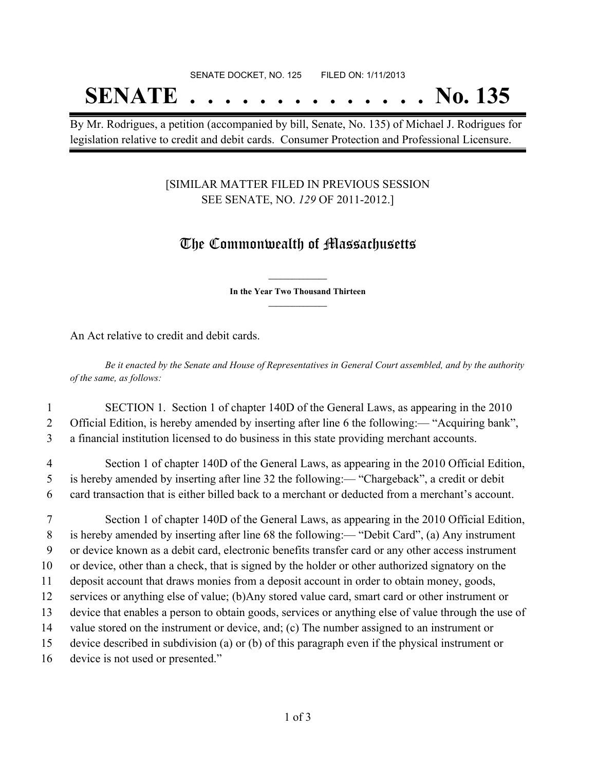## SENATE DOCKET, NO. 125 FILED ON: 1/11/2013

# **SENATE . . . . . . . . . . . . . . No. 135**

By Mr. Rodrigues, a petition (accompanied by bill, Senate, No. 135) of Michael J. Rodrigues for legislation relative to credit and debit cards. Consumer Protection and Professional Licensure.

#### [SIMILAR MATTER FILED IN PREVIOUS SESSION SEE SENATE, NO. *129* OF 2011-2012.]

## The Commonwealth of Massachusetts

**\_\_\_\_\_\_\_\_\_\_\_\_\_\_\_ In the Year Two Thousand Thirteen \_\_\_\_\_\_\_\_\_\_\_\_\_\_\_**

An Act relative to credit and debit cards.

Be it enacted by the Senate and House of Representatives in General Court assembled, and by the authority *of the same, as follows:*

1 SECTION 1. Section 1 of chapter 140D of the General Laws, as appearing in the 2010 2 Official Edition, is hereby amended by inserting after line 6 the following:— "Acquiring bank", 3 a financial institution licensed to do business in this state providing merchant accounts.

4 Section 1 of chapter 140D of the General Laws, as appearing in the 2010 Official Edition, 5 is hereby amended by inserting after line 32 the following:— "Chargeback", a credit or debit 6 card transaction that is either billed back to a merchant or deducted from a merchant's account.

 Section 1 of chapter 140D of the General Laws, as appearing in the 2010 Official Edition, is hereby amended by inserting after line 68 the following:— "Debit Card", (a) Any instrument or device known as a debit card, electronic benefits transfer card or any other access instrument or device, other than a check, that is signed by the holder or other authorized signatory on the deposit account that draws monies from a deposit account in order to obtain money, goods, services or anything else of value; (b)Any stored value card, smart card or other instrument or device that enables a person to obtain goods, services or anything else of value through the use of value stored on the instrument or device, and; (c) The number assigned to an instrument or device described in subdivision (a) or (b) of this paragraph even if the physical instrument or device is not used or presented."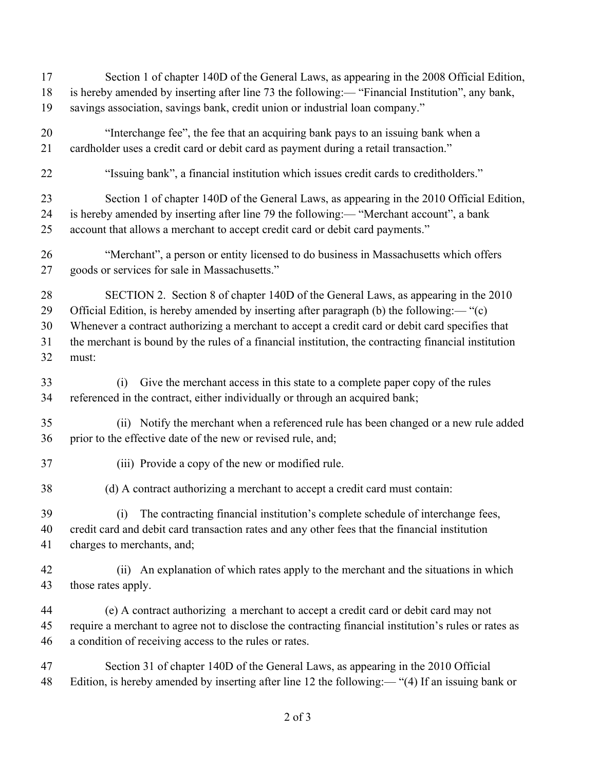| 17             | Section 1 of chapter 140D of the General Laws, as appearing in the 2008 Official Edition,                                                                                                                             |
|----------------|-----------------------------------------------------------------------------------------------------------------------------------------------------------------------------------------------------------------------|
| 18             | is hereby amended by inserting after line 73 the following:— "Financial Institution", any bank,                                                                                                                       |
| 19             | savings association, savings bank, credit union or industrial loan company."                                                                                                                                          |
| 20             | "Interchange fee", the fee that an acquiring bank pays to an issuing bank when a                                                                                                                                      |
| 21             | cardholder uses a credit card or debit card as payment during a retail transaction."                                                                                                                                  |
| 22             | "Issuing bank", a financial institution which issues credit cards to creditholders."                                                                                                                                  |
| 23             | Section 1 of chapter 140D of the General Laws, as appearing in the 2010 Official Edition,                                                                                                                             |
| 24             | is hereby amended by inserting after line 79 the following:— "Merchant account", a bank                                                                                                                               |
| 25             | account that allows a merchant to accept credit card or debit card payments."                                                                                                                                         |
| 26             | "Merchant", a person or entity licensed to do business in Massachusetts which offers                                                                                                                                  |
| 27             | goods or services for sale in Massachusetts."                                                                                                                                                                         |
| 28             | SECTION 2. Section 8 of chapter 140D of the General Laws, as appearing in the 2010                                                                                                                                    |
| 29             | Official Edition, is hereby amended by inserting after paragraph (b) the following:— "(c)                                                                                                                             |
| 30             | Whenever a contract authorizing a merchant to accept a credit card or debit card specifies that                                                                                                                       |
| 31             | the merchant is bound by the rules of a financial institution, the contracting financial institution                                                                                                                  |
| 32             | must:                                                                                                                                                                                                                 |
| 33<br>34       | Give the merchant access in this state to a complete paper copy of the rules<br>(i)<br>referenced in the contract, either individually or through an acquired bank;                                                   |
| 35             | (ii) Notify the merchant when a referenced rule has been changed or a new rule added                                                                                                                                  |
| 36             | prior to the effective date of the new or revised rule, and;                                                                                                                                                          |
| 37             | (iii) Provide a copy of the new or modified rule.                                                                                                                                                                     |
| 38             | (d) A contract authorizing a merchant to accept a credit card must contain:                                                                                                                                           |
| 39<br>40<br>41 | The contracting financial institution's complete schedule of interchange fees,<br>(i)<br>credit card and debit card transaction rates and any other fees that the financial institution<br>charges to merchants, and; |
| 42<br>43       | An explanation of which rates apply to the merchant and the situations in which<br>(i)<br>those rates apply.                                                                                                          |
| 44             | (e) A contract authorizing a merchant to accept a credit card or debit card may not                                                                                                                                   |
| 45             | require a merchant to agree not to disclose the contracting financial institution's rules or rates as                                                                                                                 |
| 46             | a condition of receiving access to the rules or rates.                                                                                                                                                                |
| 47             | Section 31 of chapter 140D of the General Laws, as appearing in the 2010 Official                                                                                                                                     |
| 48             | Edition, is hereby amended by inserting after line 12 the following:— "(4) If an issuing bank or                                                                                                                      |